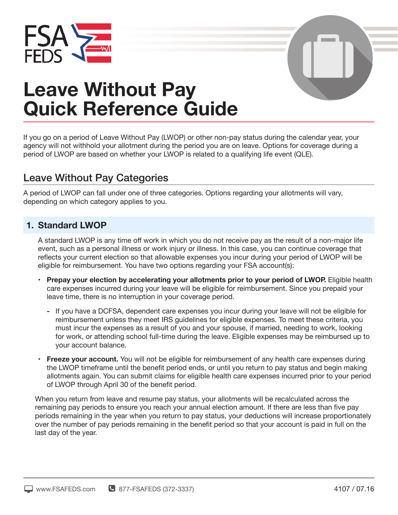



# **Leave Without Pay Quick Reference Guide**

If you go on a period of Leave Without Pay (LWOP) or other non-pay status during the calendar year, your agency will not withhold your allotment during the period you are on leave. Options for coverage during a period of LWOP are based on whether your LWOP is related to a qualifying life event (QLE).

# Leave Without Pay Categories

A period of LWOP can fall under one of three categories. Options regarding your allotments will vary, depending on which category applies to you.

## **1. Standard LWOP**

A standard LWOP is any time off work in which you do not receive pay as the result of a non-major life event, such as a personal illness or work injury or illness. In this case, you can continue coverage that reflects your current election so that allowable expenses you incur during your period of LWOP will be eligible for reimbursement. You have two options regarding your FSA account(s):

- **Prepay your election by accelerating your allotments prior to your period of LWOP.** Eligible health care expenses incurred during your leave will be eligible for reimbursement. Since you prepaid your leave time, there is no interruption in your coverage period.
	- **-** If you have a DCFSA, dependent care expenses you incur during your leave will not be eligible for reimbursement unless they meet IRS guidelines for eligible expenses. To meet these criteria, you must incur the expenses as a result of you and your spouse, if married, needing to work, looking for work, or attending school full-time during the leave. Eligible expenses may be reimbursed up to your account balance.
- **Freeze your account.** You will not be eligible for reimbursement of any health care expenses during the LWOP timeframe until the benefit period ends, or until you return to pay status and begin making allotments again. You can submit claims for eligible health care expenses incurred prior to your period of LWOP through April 30 of the benefit period.

When you return from leave and resume pay status, your allotments will be recalculated across the remaining pay periods to ensure you reach your annual election amount. If there are less than five pay periods remaining in the year when you return to pay status, your deductions will increase proportionately over the number of pay periods remaining in the benefit period so that your account is paid in full on the last day of the year.